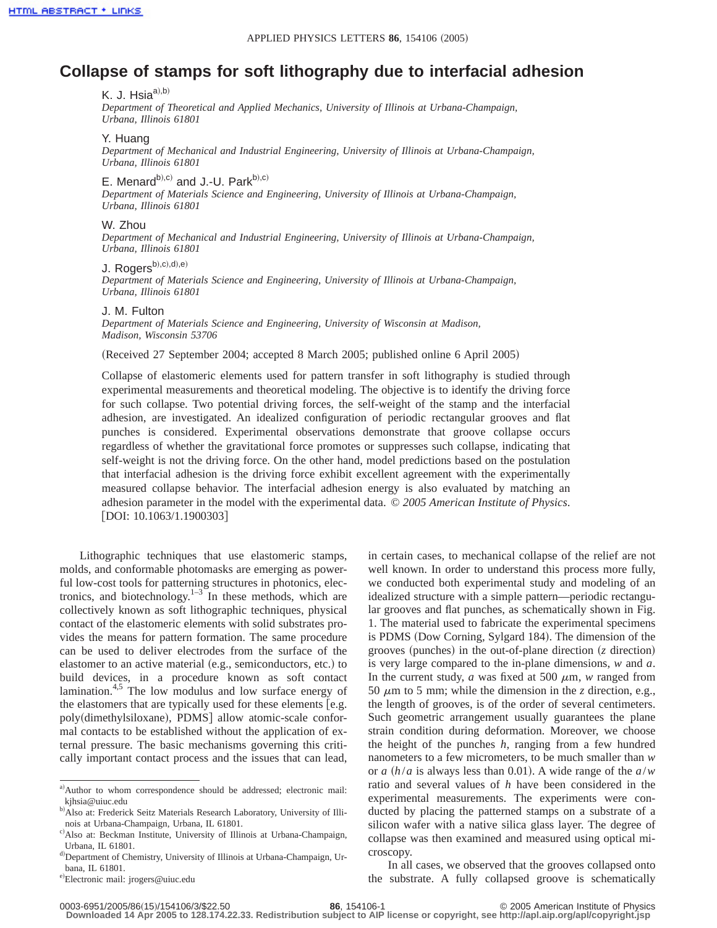# **Collapse of stamps for soft lithography due to interfacial adhesion**

# K. J. Hsi $a^{a),b)}$

*Department of Theoretical and Applied Mechanics, University of Illinois at Urbana-Champaign, Urbana, Illinois 61801*

### Y. Huang

*Department of Mechanical and Industrial Engineering, University of Illinois at Urbana-Champaign, Urbana, Illinois 61801*

## E. Menard $b^{(b),c)}$  and J.-U. Park $b^{(b),c)}$

*Department of Materials Science and Engineering, University of Illinois at Urbana-Champaign, Urbana, Illinois 61801*

#### W. Zhou

*Department of Mechanical and Industrial Engineering, University of Illinois at Urbana-Champaign, Urbana, Illinois 61801*

# $J.$  Rogers $b),c),d),e)$

*Department of Materials Science and Engineering, University of Illinois at Urbana-Champaign, Urbana, Illinois 61801*

#### J. M. Fulton

*Department of Materials Science and Engineering, University of Wisconsin at Madison, Madison, Wisconsin 53706*

(Received 27 September 2004; accepted 8 March 2005; published online 6 April 2005)

Collapse of elastomeric elements used for pattern transfer in soft lithography is studied through experimental measurements and theoretical modeling. The objective is to identify the driving force for such collapse. Two potential driving forces, the self-weight of the stamp and the interfacial adhesion, are investigated. An idealized configuration of periodic rectangular grooves and flat punches is considered. Experimental observations demonstrate that groove collapse occurs regardless of whether the gravitational force promotes or suppresses such collapse, indicating that self-weight is not the driving force. On the other hand, model predictions based on the postulation that interfacial adhesion is the driving force exhibit excellent agreement with the experimentally measured collapse behavior. The interfacial adhesion energy is also evaluated by matching an adhesion parameter in the model with the experimental data. © *2005 American Institute of Physics*. [DOI: 10.1063/1.1900303]

Lithographic techniques that use elastomeric stamps, molds, and conformable photomasks are emerging as powerful low-cost tools for patterning structures in photonics, electronics, and biotechnology. $1-3$  In these methods, which are collectively known as soft lithographic techniques, physical contact of the elastomeric elements with solid substrates provides the means for pattern formation. The same procedure can be used to deliver electrodes from the surface of the elastomer to an active material (e.g., semiconductors, etc.) to build devices, in a procedure known as soft contact lamination. $4.5$  The low modulus and low surface energy of the elastomers that are typically used for these elements [e.g. poly(dimethylsiloxane), PDMS] allow atomic-scale conformal contacts to be established without the application of external pressure. The basic mechanisms governing this critically important contact process and the issues that can lead,

e)<br>Electronic mail: jrogers@uiuc.edu

in certain cases, to mechanical collapse of the relief are not well known. In order to understand this process more fully, we conducted both experimental study and modeling of an idealized structure with a simple pattern—periodic rectangular grooves and flat punches, as schematically shown in Fig. 1. The material used to fabricate the experimental specimens is PDMS (Dow Corning, Sylgard 184). The dimension of the grooves (punches) in the out-of-plane direction  $(z$  direction) is very large compared to the in-plane dimensions, *w* and *a*. In the current study,  $a$  was fixed at 500  $\mu$ m,  $w$  ranged from 50  $\mu$ m to 5 mm; while the dimension in the *z* direction, e.g., the length of grooves, is of the order of several centimeters. Such geometric arrangement usually guarantees the plane strain condition during deformation. Moreover, we choose the height of the punches *h*, ranging from a few hundred nanometers to a few micrometers, to be much smaller than *w* or *a*  $(h/a)$  is always less than 0.01. A wide range of the  $a/w$ ratio and several values of *h* have been considered in the experimental measurements. The experiments were conducted by placing the patterned stamps on a substrate of a silicon wafer with a native silica glass layer. The degree of collapse was then examined and measured using optical microscopy.

In all cases, we observed that the grooves collapsed onto the substrate. A fully collapsed groove is schematically

a)Author to whom correspondence should be addressed; electronic mail: kjhsia@uiuc.edu

b) Also at: Frederick Seitz Materials Research Laboratory, University of Illinois at Urbana-Champaign, Urbana, IL 61801.

c) Also at: Beckman Institute, University of Illinois at Urbana-Champaign, Urbana, IL 61801.

d) Department of Chemistry, University of Illinois at Urbana-Champaign, Urbana, IL 61801.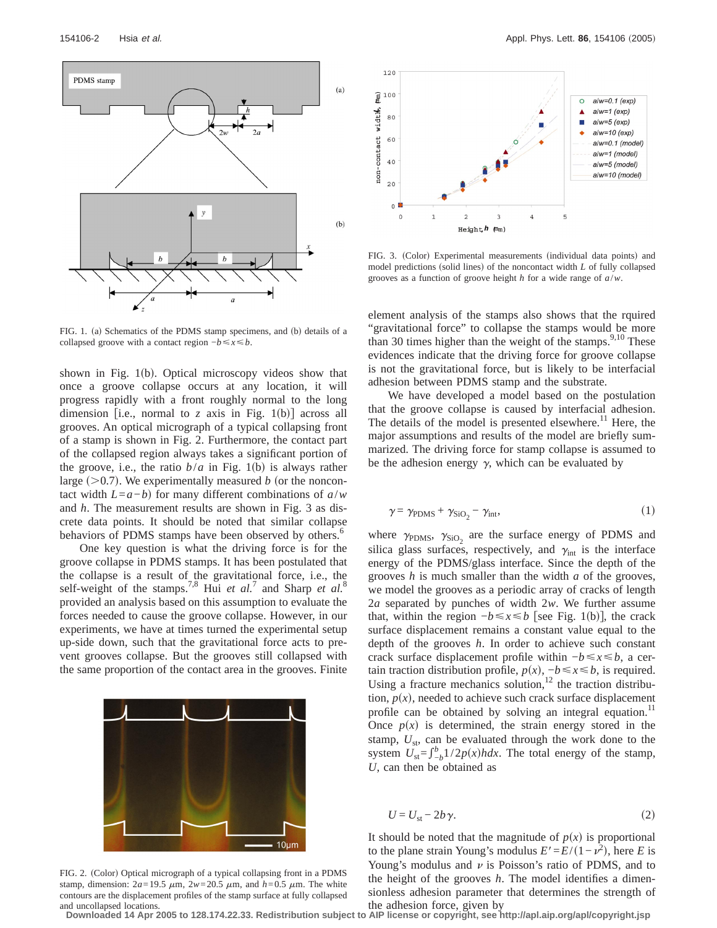

FIG. 1. (a) Schematics of the PDMS stamp specimens, and (b) details of a collapsed groove with a contact region  $-b \le x \le b$ .

shown in Fig.  $1(b)$ . Optical microscopy videos show that once a groove collapse occurs at any location, it will progress rapidly with a front roughly normal to the long dimension *fi.e.*, normal to *z* axis in Fig. 1(b) across all grooves. An optical micrograph of a typical collapsing front of a stamp is shown in Fig. 2. Furthermore, the contact part of the collapsed region always takes a significant portion of the groove, i.e., the ratio  $b/a$  in Fig. 1(b) is always rather large  $(>0.7)$ . We experimentally measured *b* (or the noncontact width  $L=a-b$  for many different combinations of  $a/w$ and *h*. The measurement results are shown in Fig. 3 as discrete data points. It should be noted that similar collapse behaviors of PDMS stamps have been observed by others.<sup>6</sup>

One key question is what the driving force is for the groove collapse in PDMS stamps. It has been postulated that the collapse is a result of the gravitational force, i.e., the self-weight of the stamps.<sup>7,8</sup> Hui *et al.*<sup>7</sup> and Sharp *et al.*<sup>8</sup> provided an analysis based on this assumption to evaluate the forces needed to cause the groove collapse. However, in our experiments, we have at times turned the experimental setup up-side down, such that the gravitational force acts to prevent grooves collapse. But the grooves still collapsed with the same proportion of the contact area in the grooves. Finite



FIG. 2. (Color) Optical micrograph of a typical collapsing front in a PDMS stamp, dimension:  $2a=19.5 \mu m$ ,  $2w=20.5 \mu m$ , and  $h=0.5 \mu m$ . The white contours are the displacement profiles of the stamp surface at fully collapsed and uncollapsed locations.



FIG. 3. (Color) Experimental measurements (individual data points) and model predictions (solid lines) of the noncontact width *L* of fully collapsed grooves as a function of groove height *h* for a wide range of *a*/*w*.

element analysis of the stamps also shows that the rquired "gravitational force" to collapse the stamps would be more than 30 times higher than the weight of the stamps. $9,10$  These evidences indicate that the driving force for groove collapse is not the gravitational force, but is likely to be interfacial adhesion between PDMS stamp and the substrate.

We have developed a model based on the postulation that the groove collapse is caused by interfacial adhesion. The details of the model is presented elsewhere.<sup>11</sup> Here, the major assumptions and results of the model are briefly summarized. The driving force for stamp collapse is assumed to be the adhesion energy  $\gamma$ , which can be evaluated by

$$
\gamma = \gamma_{\text{PDMS}} + \gamma_{\text{SiO}_2} - \gamma_{\text{int}},\tag{1}
$$

where  $\gamma_{\text{PDMS}}$ ,  $\gamma_{\text{SiO}_2}$  are the surface energy of PDMS and silica glass surfaces, respectively, and  $\gamma_{int}$  is the interface energy of the PDMS/glass interface. Since the depth of the grooves *h* is much smaller than the width *a* of the grooves, we model the grooves as a periodic array of cracks of length 2*a* separated by punches of width 2*w*. We further assume that, within the region  $-b \le x \le b$  [see Fig. 1(b)], the crack surface displacement remains a constant value equal to the depth of the grooves *h*. In order to achieve such constant crack surface displacement profile within −*b*ø*x*ø*b*, a certain traction distribution profile,  $p(x)$ ,  $−b \le x \le b$ , is required. Using a fracture mechanics solution, $12$  the traction distribution,  $p(x)$ , needed to achieve such crack surface displacement profile can be obtained by solving an integral equation.<sup>11</sup> Once  $p(x)$  is determined, the strain energy stored in the stamp,  $U_{\text{st}}$ , can be evaluated through the work done to the system  $U_{st} = \int_{-b}^{b} 1/2p(x)h dx$ . The total energy of the stamp, *U*, can then be obtained as

$$
U = U_{\rm st} - 2b\,\gamma. \tag{2}
$$

It should be noted that the magnitude of  $p(x)$  is proportional to the plane strain Young's modulus  $E' = E/(1 - \nu^2)$ , here *E* is Young's modulus and  $\nu$  is Poisson's ratio of PDMS, and to the height of the grooves *h*. The model identifies a dimensionless adhesion parameter that determines the strength of the adhesion force, given by

**Downloaded 14 Apr 2005 to 128.174.22.33. Redistribution subject to AIP license or copyright, see http://apl.aip.org/apl/copyright.jsp**